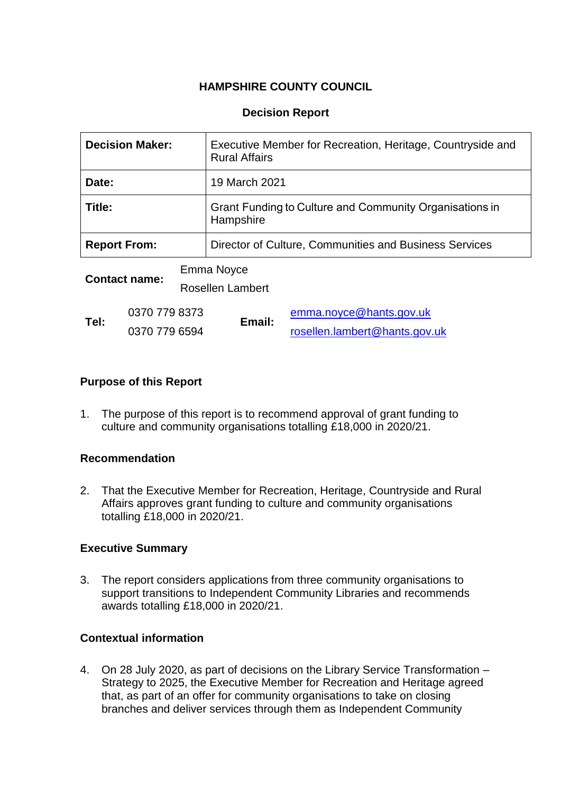# **HAMPSHIRE COUNTY COUNCIL**

## **Decision Report**

| <b>Decision Maker:</b> |                                | Executive Member for Recreation, Heritage, Countryside and<br><b>Rural Affairs</b> |                                                                      |                                                          |  |
|------------------------|--------------------------------|------------------------------------------------------------------------------------|----------------------------------------------------------------------|----------------------------------------------------------|--|
| Date:                  |                                |                                                                                    | 19 March 2021                                                        |                                                          |  |
| Title:                 |                                |                                                                                    | Grant Funding to Culture and Community Organisations in<br>Hampshire |                                                          |  |
| <b>Report From:</b>    |                                |                                                                                    | Director of Culture, Communities and Business Services               |                                                          |  |
| <b>Contact name:</b>   |                                | Emma Noyce<br>Rosellen Lambert                                                     |                                                                      |                                                          |  |
| Tel:                   | 0370 779 8373<br>0370 779 6594 |                                                                                    | Email:                                                               | emma.noyce@hants.gov.uk<br>rosellen.lambert@hants.gov.uk |  |

## **Purpose of this Report**

1. The purpose of this report is to recommend approval of grant funding to culture and community organisations totalling £18,000 in 2020/21.

#### **Recommendation**

2. That the Executive Member for Recreation, Heritage, Countryside and Rural Affairs approves grant funding to culture and community organisations totalling £18,000 in 2020/21.

#### **Executive Summary**

3. The report considers applications from three community organisations to support transitions to Independent Community Libraries and recommends awards totalling £18,000 in 2020/21.

### **Contextual information**

4. On 28 July 2020, as part of decisions on the Library Service Transformation – Strategy to 2025, the Executive Member for Recreation and Heritage agreed that, as part of an offer for community organisations to take on closing branches and deliver services through them as Independent Community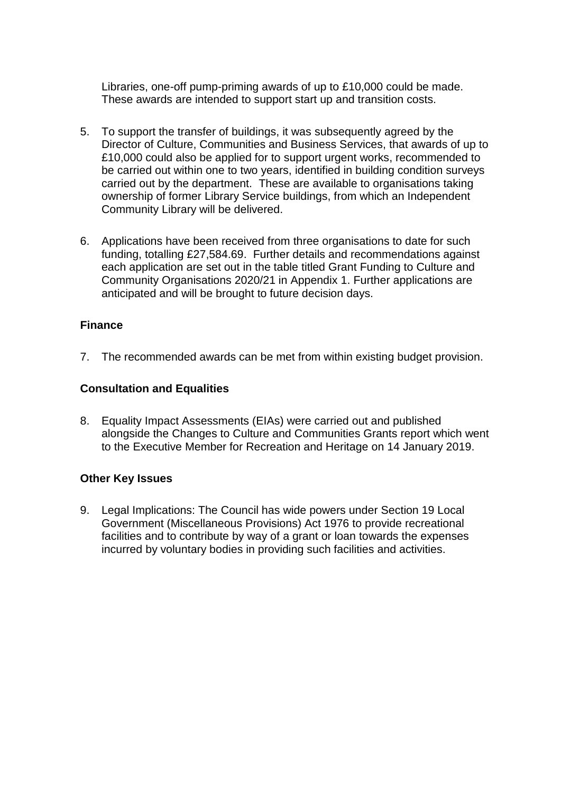Libraries, one-off pump-priming awards of up to £10,000 could be made. These awards are intended to support start up and transition costs.

- 5. To support the transfer of buildings, it was subsequently agreed by the Director of Culture, Communities and Business Services, that awards of up to £10,000 could also be applied for to support urgent works, recommended to be carried out within one to two years, identified in building condition surveys carried out by the department. These are available to organisations taking ownership of former Library Service buildings, from which an Independent Community Library will be delivered.
- 6. Applications have been received from three organisations to date for such funding, totalling £27,584.69. Further details and recommendations against each application are set out in the table titled Grant Funding to Culture and Community Organisations 2020/21 in Appendix 1. Further applications are anticipated and will be brought to future decision days.

## **Finance**

7. The recommended awards can be met from within existing budget provision.

#### **Consultation and Equalities**

8. Equality Impact Assessments (EIAs) were carried out and published alongside the Changes to Culture and Communities Grants report which went to the Executive Member for Recreation and Heritage on 14 January 2019.

#### **Other Key Issues**

9. Legal Implications: The Council has wide powers under Section 19 Local Government (Miscellaneous Provisions) Act 1976 to provide recreational facilities and to contribute by way of a grant or loan towards the expenses incurred by voluntary bodies in providing such facilities and activities.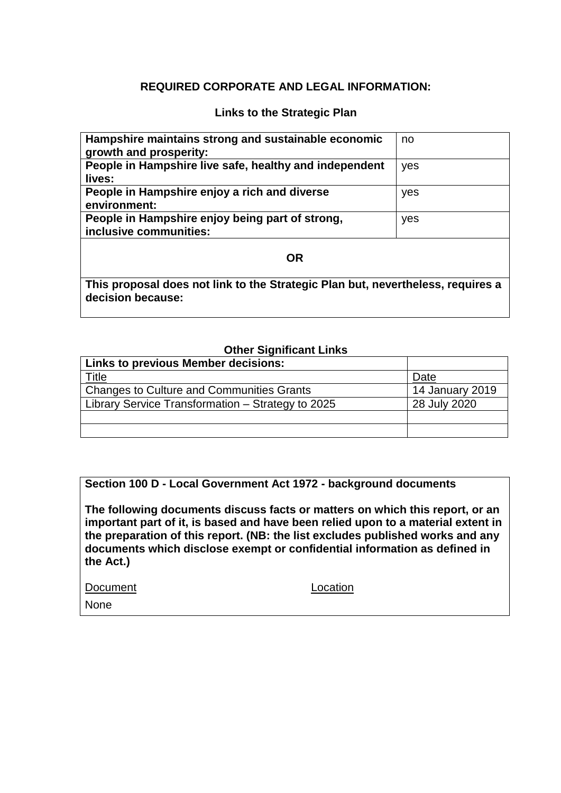## **REQUIRED CORPORATE AND LEGAL INFORMATION:**

#### **Links to the Strategic Plan**

| Hampshire maintains strong and sustainable economic<br>growth and prosperity: | no  |  |  |  |  |
|-------------------------------------------------------------------------------|-----|--|--|--|--|
| People in Hampshire live safe, healthy and independent                        | yes |  |  |  |  |
| lives:                                                                        |     |  |  |  |  |
| People in Hampshire enjoy a rich and diverse                                  | yes |  |  |  |  |
| environment:                                                                  |     |  |  |  |  |
| People in Hampshire enjoy being part of strong,<br>inclusive communities:     | yes |  |  |  |  |
| <b>OR</b>                                                                     |     |  |  |  |  |
| This proposal does not link to the Strategic Plan but nevertheless requires a |     |  |  |  |  |

**This proposal does not link to the Strategic Plan but, nevertheless, requires a decision because:**

## **Other Significant Links**

| <b>Links to previous Member decisions:</b>        |                 |
|---------------------------------------------------|-----------------|
| <u>Title</u>                                      | Date            |
| <b>Changes to Culture and Communities Grants</b>  | 14 January 2019 |
| Library Service Transformation - Strategy to 2025 | 28 July 2020    |
|                                                   |                 |
|                                                   |                 |

**Section 100 D - Local Government Act 1972 - background documents**

**The following documents discuss facts or matters on which this report, or an important part of it, is based and have been relied upon to a material extent in the preparation of this report. (NB: the list excludes published works and any documents which disclose exempt or confidential information as defined in the Act.)**

Document Location

None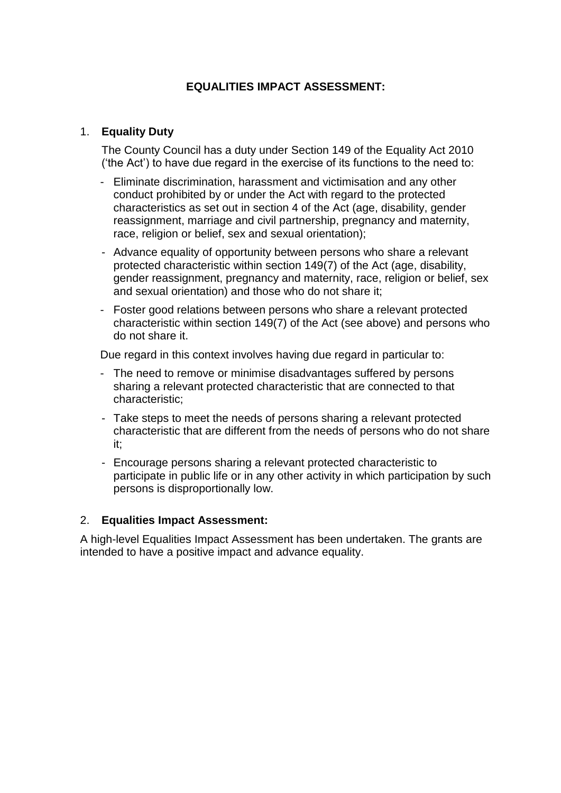# **EQUALITIES IMPACT ASSESSMENT:**

## 1. **Equality Duty**

The County Council has a duty under Section 149 of the Equality Act 2010 ('the Act') to have due regard in the exercise of its functions to the need to:

- Eliminate discrimination, harassment and victimisation and any other conduct prohibited by or under the Act with regard to the protected characteristics as set out in section 4 of the Act (age, disability, gender reassignment, marriage and civil partnership, pregnancy and maternity, race, religion or belief, sex and sexual orientation);
- Advance equality of opportunity between persons who share a relevant protected characteristic within section 149(7) of the Act (age, disability, gender reassignment, pregnancy and maternity, race, religion or belief, sex and sexual orientation) and those who do not share it;
- Foster good relations between persons who share a relevant protected characteristic within section 149(7) of the Act (see above) and persons who do not share it.

Due regard in this context involves having due regard in particular to:

- The need to remove or minimise disadvantages suffered by persons sharing a relevant protected characteristic that are connected to that characteristic;
- Take steps to meet the needs of persons sharing a relevant protected characteristic that are different from the needs of persons who do not share it;
- Encourage persons sharing a relevant protected characteristic to participate in public life or in any other activity in which participation by such persons is disproportionally low.

#### 2. **Equalities Impact Assessment:**

A high-level Equalities Impact Assessment has been undertaken. The grants are intended to have a positive impact and advance equality.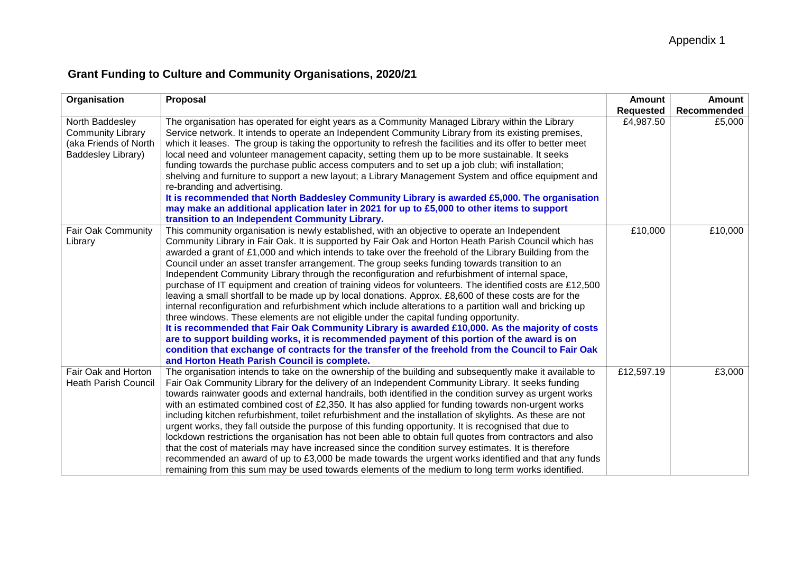# **Grant Funding to Culture and Community Organisations, 2020/21**

| Organisation                                                                               | Proposal                                                                                                                                                                                                                                                                                                                                                                                                                                                                                                                                                                                                                                                                                                                                                                                                                                                                                                                                                                                                                                                                                                                                                                                                                                                                                             | Amount<br>Requested | Amount<br>Recommended |
|--------------------------------------------------------------------------------------------|------------------------------------------------------------------------------------------------------------------------------------------------------------------------------------------------------------------------------------------------------------------------------------------------------------------------------------------------------------------------------------------------------------------------------------------------------------------------------------------------------------------------------------------------------------------------------------------------------------------------------------------------------------------------------------------------------------------------------------------------------------------------------------------------------------------------------------------------------------------------------------------------------------------------------------------------------------------------------------------------------------------------------------------------------------------------------------------------------------------------------------------------------------------------------------------------------------------------------------------------------------------------------------------------------|---------------------|-----------------------|
| North Baddesley<br><b>Community Library</b><br>(aka Friends of North<br>Baddesley Library) | The organisation has operated for eight years as a Community Managed Library within the Library<br>Service network. It intends to operate an Independent Community Library from its existing premises,<br>which it leases. The group is taking the opportunity to refresh the facilities and its offer to better meet<br>local need and volunteer management capacity, setting them up to be more sustainable. It seeks<br>funding towards the purchase public access computers and to set up a job club; wifi installation;<br>shelving and furniture to support a new layout; a Library Management System and office equipment and<br>re-branding and advertising.<br>It is recommended that North Baddesley Community Library is awarded £5,000. The organisation<br>may make an additional application later in 2021 for up to £5,000 to other items to support<br>transition to an Independent Community Library.                                                                                                                                                                                                                                                                                                                                                                               | £4,987.50           | £5,000                |
| Fair Oak Community<br>Library                                                              | This community organisation is newly established, with an objective to operate an Independent<br>Community Library in Fair Oak. It is supported by Fair Oak and Horton Heath Parish Council which has<br>awarded a grant of £1,000 and which intends to take over the freehold of the Library Building from the<br>Council under an asset transfer arrangement. The group seeks funding towards transition to an<br>Independent Community Library through the reconfiguration and refurbishment of internal space,<br>purchase of IT equipment and creation of training videos for volunteers. The identified costs are £12,500<br>leaving a small shortfall to be made up by local donations. Approx. £8,600 of these costs are for the<br>internal reconfiguration and refurbishment which include alterations to a partition wall and bricking up<br>three windows. These elements are not eligible under the capital funding opportunity.<br>It is recommended that Fair Oak Community Library is awarded £10,000. As the majority of costs<br>are to support building works, it is recommended payment of this portion of the award is on<br>condition that exchange of contracts for the transfer of the freehold from the Council to Fair Oak<br>and Horton Heath Parish Council is complete. | £10,000             | £10,000               |
| Fair Oak and Horton<br><b>Heath Parish Council</b>                                         | The organisation intends to take on the ownership of the building and subsequently make it available to<br>Fair Oak Community Library for the delivery of an Independent Community Library. It seeks funding<br>towards rainwater goods and external handrails, both identified in the condition survey as urgent works<br>with an estimated combined cost of £2,350. It has also applied for funding towards non-urgent works<br>including kitchen refurbishment, toilet refurbishment and the installation of skylights. As these are not<br>urgent works, they fall outside the purpose of this funding opportunity. It is recognised that due to<br>lockdown restrictions the organisation has not been able to obtain full quotes from contractors and also<br>that the cost of materials may have increased since the condition survey estimates. It is therefore<br>recommended an award of up to £3,000 be made towards the urgent works identified and that any funds<br>remaining from this sum may be used towards elements of the medium to long term works identified.                                                                                                                                                                                                                  | £12,597.19          | £3,000                |